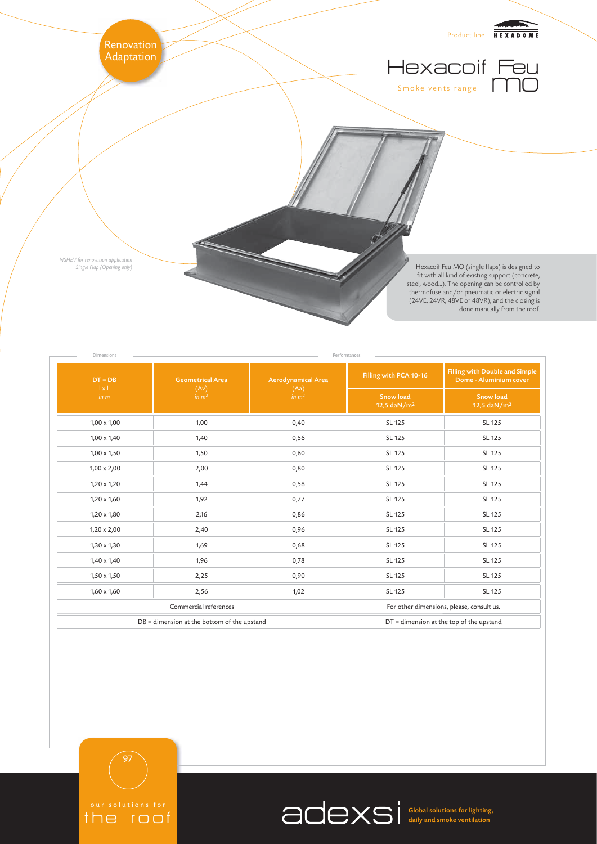

| Dimensions<br>$DT = DB$<br>$1 \times L$<br>in m | <b>Geometrical Area</b><br>(Av)<br>in m <sup>2</sup> | <b>Aerodynamical Area</b><br>(Aa)<br>in m <sup>2</sup> | Performances<br>Filling with PCA 10-16                   | <b>Filling with Double and Simple</b><br>Dome - Aluminium cover |
|-------------------------------------------------|------------------------------------------------------|--------------------------------------------------------|----------------------------------------------------------|-----------------------------------------------------------------|
|                                                 |                                                      |                                                        | <b>Snow load</b><br>12,5 $\frac{d}{dx}$ M/m <sup>2</sup> | <b>Snow load</b><br>12,5 daN/ $m2$                              |
| $1,00 \times 1,00$                              | 1,00                                                 | 0,40                                                   | SL 125                                                   | SL 125                                                          |
| $1,00 \times 1,40$                              | 1,40                                                 | 0,56                                                   | SL 125                                                   | SL 125                                                          |
| $1,00 \times 1,50$                              | 1,50                                                 | 0,60                                                   | SL 125                                                   | SL 125                                                          |
| $1,00 \times 2,00$                              | 2,00                                                 | 0,80                                                   | SL 125                                                   | SL 125                                                          |
| $1,20 \times 1,20$                              | 1,44                                                 | 0,58                                                   | SL 125                                                   | SL 125                                                          |
| $1,20 \times 1,60$                              | 1,92                                                 | 0,77                                                   | SL 125                                                   | SL 125                                                          |
| $1,20 \times 1,80$                              | 2,16                                                 | 0,86                                                   | SL 125                                                   | SL 125                                                          |
| $1,20 \times 2,00$                              | 2,40                                                 | 0,96                                                   | SL 125                                                   | SL 125                                                          |
| $1,30 \times 1,30$                              | 1,69                                                 | 0,68                                                   | SL 125                                                   | SL 125                                                          |
| $1,40 \times 1,40$                              | 1,96                                                 | 0,78                                                   | SL 125                                                   | SL 125                                                          |
| $1,50 \times 1,50$                              | 2,25                                                 | 0,90                                                   | SL 125                                                   | SL 125                                                          |
| $1,60 \times 1,60$                              | 2,56                                                 | 1,02                                                   | SL 125                                                   | SL 125                                                          |
| Commercial references                           |                                                      |                                                        | For other dimensions, please, consult us.                |                                                                 |
| DB = dimension at the bottom of the upstand     |                                                      |                                                        | $DT =$ dimension at the top of the upstand               |                                                                 |





Global solutions for lighting, daily and smoke ventilation